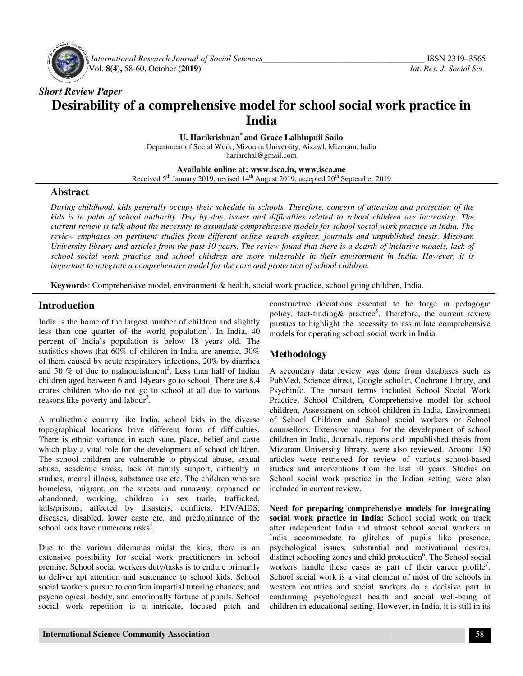

 *International Research Journal Journal of Social Sciences\_\_\_\_\_\_\_\_\_\_\_\_\_\_\_\_\_\_\_\_\_\_\_\_\_\_\_\_\_\_\_\_\_\_\_* Vol. **8(4),** 58-60, October **(2019) (2019)**

# *Short Review Paper* Desirability of a comprehensive model for school social work practice in<br>India

**U. Harikrishnan U. \* and Grace Lalhlupuii Sailo**

Department of Social Work, Mizoram University, Aizawl, Mizoram, India hariarchal@gmail.com

**Available Available online at: www.isca.in, www.isca.me**  Received 5<sup>th</sup> January 2019, revised 14<sup>th</sup> August 2019, accepted 20<sup>th</sup> September 2019

#### **Abstract**

*During childhood, kids generally occupy their schedule in schools. Therefore, generally their concern of attention and protection of the kids is in palm of school authority. Day by day, issues and difficulties related to school children are increasing. The*  kids is in palm of school authority. Day by day, issues and difficulties related to school children are increasing. The<br>current review is talk about the necessity to assimilate comprehensive models for school social work p *review emphases on pertinent studies from different online search engines, journals and unpublished thesis, Mizoram University library and articles from the past 10 years. The review found that there is a dearth of inclusive models, lack of school social work practice and school children are more vulnerable in their environment in India. important to integrate a comprehensive model for the care and protection of school children. pertinent studies from different online search engines, journals and unpublished thesis,* ary and articles from the past 10 years. The review found that there is a dearth of inclusive model work practice and school childr *a*d, kids generally occupy their schedule in schools. Therefore, concern of attention and protection of the of school authority. Day by day, issues and difficulties related to school children are increasing. The s talk ab

# **Introduction**

India is the home of the largest number of children and slightly less than one quarter of the world population . In India, 40 percent of India's population is below 18 years old. The statistics shows that 60% of children in India are anemic, 30% of them caused by acute respiratory infections, 20% by diarrhea and 50  $%$  of due to malnourishment<sup>2</sup>. Less than half of Indian children aged between 6 and 14years go to school. There are 8.4 crores children who do not go to school at all due to various reasons like poverty and labour<sup>3</sup>. of them caused by acute respiratory infections, 20% by diarrhea<br>and 50 % of due to malnourishment<sup>2</sup>. Less than half of Indian<br>children aged between 6 and 14years go to school. There are 8.4<br>crores children who do not go t

A multiethnic country like India, school kids in the diverse topographical locations have different form of difficulties. There is ethnic variance in each state, place, belief and caste which play a vital role for the development of school children. The school children are vulnerable to physical abuse, sexual abuse, academic stress, lack of family support, difficulty in studies, mental illness, substance use etc. The children who are homeless, migrant, on the streets and runaway, orphaned or abandoned, working, children in sex trade, trafficked, jails/prisons, affected by disasters, conflicts, HIV/AIDS, diseases, disabled, lower caste etc. and predominance of the school kids have numerous risks<sup>4</sup>. The school children are vulnerable to physical abuse, sexual abuse, academic stress, lack of family support, difficulty in studies, mental illness, substance use etc. The children who are homeless, migrant, on the streets

Due to the various dilemmas midst the kids, there is an extensive possibility for social work practitioners in school extensive possibility for social work practitioners in school premise. School social workers duty/tasks is to endure primarily to deliver apt attention and sustenance to school kids. School social workers pursue to confirm impartial tutoring chances; and psychological, bodily, and emotionally fortune of pupils. School social work repetition is a intricate, focused pitch and

**Keywords:** Comprehensive model, environment & health, social work practice, school going children, India.<br> **Construction**<br>
in constructive deviations essential to be fore positive function<br>
in its the home of the largest constructive deviations essential to be forge in pedagogic policy, fact-finding & practice<sup>5</sup>. Therefore, the current review pursues to highlight the necessity to assimilate comprehensive models for operating school social work in India.

# **Methodology**

A secondary data review was done from databases such as PubMed, Science direct, Google scholar, Cochrane library, and Psychinfo. The pursuit terms included School Social Work Psychinfo. The pursuit terms included School Social Work<br>Practice, School Children, Comprehensive model for school children, Assessment on school children in India, Environment of School Children and School social workers or School counsellors. Extensive manual for the development of school children in India, Journals, reports and unpublished thesis from Mizoram University library, were also reviewed. Around 150 Mizoram University library, were also reviewed. Around 150 articles were retrieved for review of various school-based studies and interventions from the last 10 years. Studies on School social work practice in the Indian setting were also included in current review. o highlight the necessity to assimilate comprehensive<br>or operating school social work in India.<br>**lology**<br>dary data review was done from databases such as<br>Science direct, Google scholar, Cochrane library, and

Need for preparing comprehensive models for integrating social work practice in India: School social work on track after independent India and utmost school social workers in India accommodate to glitches of pupils like presence, psychological issues, substantial and motivational desires, distinct schooling zones and child protection<sup>6</sup>. The School social workers handle these cases as part of their career profile<sup>7</sup>. School social work is a vital element of most of the schools in School social work is a vital element of most of the schools in<br>western countries and social workers do a decisive part in confirming psychological health and social well well-being of children in educational setting. However, in India, it is still in its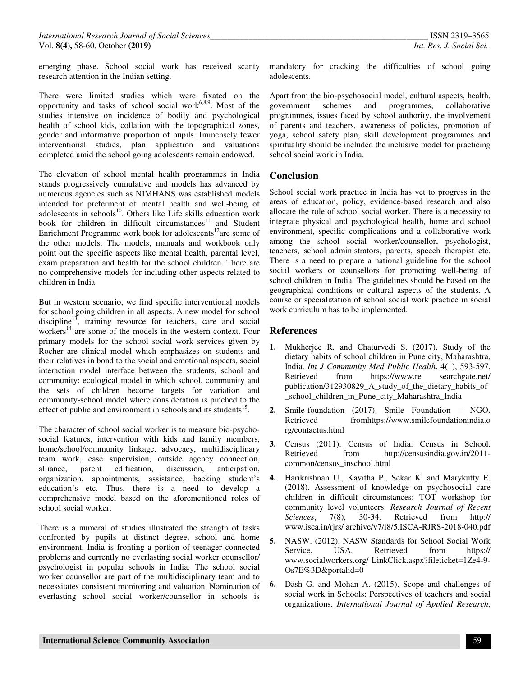emerging phase. School social work has received scanty research attention in the Indian setting.

There were limited studies which were fixated on the opportunity and tasks of school social work<sup>6,8,9</sup>. Most of the studies intensive on incidence of bodily and psychological health of school kids, collation with the topographical zones, gender and informative proportion of pupils. Immensely fewer interventional studies, plan application and valuations completed amid the school going adolescents remain endowed.

The elevation of school mental health programmes in India stands progressively cumulative and models has advanced by numerous agencies such as NIMHANS was established models intended for preferment of mental health and well-being of adolescents in schools<sup>10</sup>. Others like Life skills education work book for children in difficult circumstances $11$  and Student Enrichment Programme work book for adolescents<sup>12</sup>are some of the other models. The models, manuals and workbook only point out the specific aspects like mental health, parental level, exam preparation and health for the school children. There are no comprehensive models for including other aspects related to children in India.

But in western scenario, we find specific interventional models for school going children in all aspects. A new model for school discipline<sup>13</sup>, training resource for teachers, care and social workers<sup>14</sup> are some of the models in the western context. Four primary models for the school social work services given by Rocher are clinical model which emphasizes on students and their relatives in bond to the social and emotional aspects, social interaction model interface between the students, school and community; ecological model in which school, community and the sets of children become targets for variation and community-school model where consideration is pinched to the effect of public and environment in schools and its students<sup>15</sup>.

The character of school social worker is to measure bio-psychosocial features, intervention with kids and family members, home/school/community linkage, advocacy, multidisciplinary team work, case supervision, outside agency connection, alliance, parent edification, discussion, anticipation, organization, appointments, assistance, backing student's education's etc. Thus, there is a need to develop a comprehensive model based on the aforementioned roles of school social worker.

There is a numeral of studies illustrated the strength of tasks confronted by pupils at distinct degree, school and home environment. India is fronting a portion of teenager connected problems and currently no everlasting social worker counsellor/ psychologist in popular schools in India. The school social worker counsellor are part of the multidisciplinary team and to necessitates consistent monitoring and valuation. Nomination of everlasting school social worker/counsellor in schools is

mandatory for cracking the difficulties of school going adolescents.

Apart from the bio-psychosocial model, cultural aspects, health, government schemes and programmes, collaborative programmes, issues faced by school authority, the involvement of parents and teachers, awareness of policies, promotion of yoga, school safety plan, skill development programmes and spirituality should be included the inclusive model for practicing school social work in India.

# **Conclusion**

School social work practice in India has yet to progress in the areas of education, policy, evidence-based research and also allocate the role of school social worker. There is a necessity to integrate physical and psychological health, home and school environment, specific complications and a collaborative work among the school social worker/counsellor, psychologist, teachers, school administrators, parents, speech therapist etc. There is a need to prepare a national guideline for the school social workers or counsellors for promoting well-being of school children in India. The guidelines should be based on the geographical conditions or cultural aspects of the students. A course or specialization of school social work practice in social work curriculum has to be implemented.

# **References**

- **1.** Mukherjee R. and Chaturvedi S. (2017). Study of the dietary habits of school children in Pune city, Maharashtra, India. *Int J Community Med Public Health*, 4(1), 593-597. Retrieved from https://www.re searchgate.net/ publication/312930829 A study of the dietary habits of \_school\_children\_in\_Pune\_city\_Maharashtra\_India
- **2.** Smile-foundation (2017). Smile Foundation NGO. Retrieved fromhttps://www.smilefoundationindia.o rg/contactus.html
- **3.** Census (2011). Census of India: Census in School. Retrieved from http://censusindia.gov.in/2011 common/census\_inschool.html
- **4.** Harikrishnan U., Kavitha P., Sekar K. and Marykutty E. (2018). Assessment of knowledge on psychosocial care children in difficult circumstances; TOT workshop for community level volunteers. *Research Journal of Recent Sciences*, 7(8), 30-34. Retrieved from http:// www.isca.in/rjrs/ archive/v7/i8/5.ISCA-RJRS-2018-040.pdf
- **5.** NASW. (2012). NASW Standards for School Social Work Service. USA. Retrieved from https:// www.socialworkers.org/ LinkClick.aspx?fileticket=1Ze4-9- Os7E%3D&portalid=0
- **6.** Dash G. and Mohan A. (2015). Scope and challenges of social work in Schools: Perspectives of teachers and social organizations. *International Journal of Applied Research*,